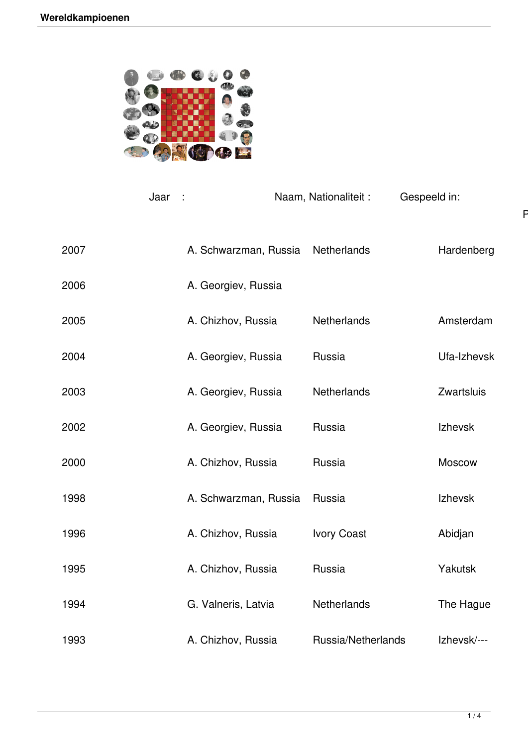

|      | Jaar<br>$\sim$ 1      | Naam, Nationaliteit: | Gespeeld in:       | F           |
|------|-----------------------|----------------------|--------------------|-------------|
| 2007 | A. Schwarzman, Russia |                      | Netherlands        | Hardenberg  |
| 2006 | A. Georgiev, Russia   |                      |                    |             |
| 2005 | A. Chizhov, Russia    |                      | Netherlands        | Amsterdam   |
| 2004 | A. Georgiev, Russia   |                      | Russia             | Ufa-Izhevsk |
| 2003 | A. Georgiev, Russia   |                      | <b>Netherlands</b> | Zwartsluis  |
| 2002 | A. Georgiev, Russia   |                      | Russia             | Izhevsk     |
| 2000 | A. Chizhov, Russia    |                      | Russia             | Moscow      |
| 1998 | A. Schwarzman, Russia |                      | Russia             | Izhevsk     |
| 1996 | A. Chizhov, Russia    |                      | <b>Ivory Coast</b> | Abidjan     |
| 1995 | A. Chizhov, Russia    |                      | Russia             | Yakutsk     |
| 1994 | G. Valneris, Latvia   |                      | Netherlands        | The Hague   |
| 1993 | A. Chizhov, Russia    |                      | Russia/Netherlands | Izhevsk/--- |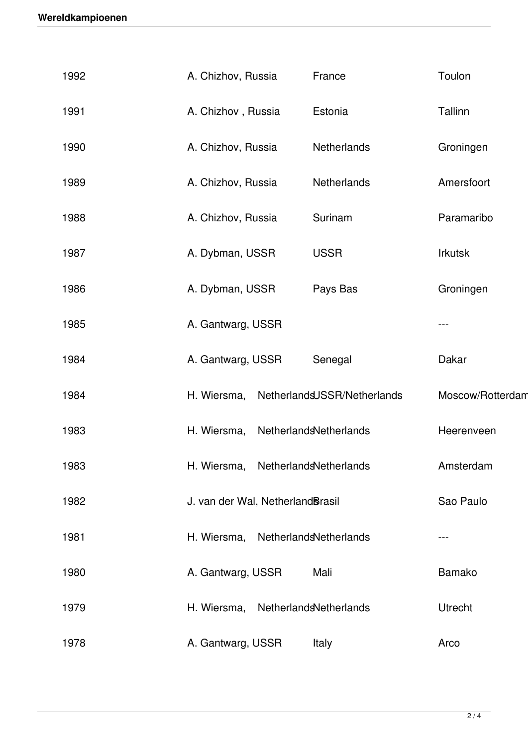| 1992 | A. Chizhov, Russia               | France                      | Toulon           |
|------|----------------------------------|-----------------------------|------------------|
| 1991 | A. Chizhov, Russia               | Estonia                     | Tallinn          |
| 1990 | A. Chizhov, Russia               | Netherlands                 | Groningen        |
| 1989 | A. Chizhov, Russia               | Netherlands                 | Amersfoort       |
| 1988 | A. Chizhov, Russia               | Surinam                     | Paramaribo       |
| 1987 | A. Dybman, USSR                  | <b>USSR</b>                 | <b>Irkutsk</b>   |
| 1986 | A. Dybman, USSR                  | Pays Bas                    | Groningen        |
| 1985 | A. Gantwarg, USSR                |                             |                  |
| 1984 | A. Gantwarg, USSR                | Senegal                     | Dakar            |
| 1984 | H. Wiersma,                      | NetherlandsUSSR/Netherlands | Moscow/Rotterdam |
| 1983 | H. Wiersma,                      | NetherlandsNetherlands      | Heerenveen       |
| 1983 | H. Wiersma,                      | NetherlandsNetherlands      | Amsterdam        |
| 1982 | J. van der Wal, NetherlandBrasil |                             | Sao Paulo        |
| 1981 | H. Wiersma,                      | NetherlandsNetherlands      |                  |
| 1980 | A. Gantwarg, USSR                | Mali                        | <b>Bamako</b>    |
| 1979 | H. Wiersma,                      | NetherlandsNetherlands      | <b>Utrecht</b>   |
| 1978 | A. Gantwarg, USSR                | Italy                       | Arco             |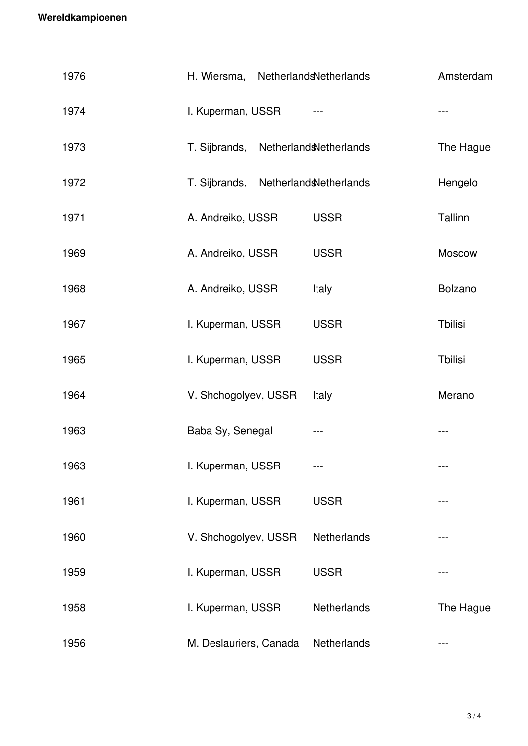| 1976 | H. Wiersma, NetherlandsNetherlands          |                        | Amsterdam      |
|------|---------------------------------------------|------------------------|----------------|
| 1974 | I. Kuperman, USSR                           |                        | ---            |
| 1973 | T. Sijbrands, Netherland <b>Netherlands</b> |                        | The Hague      |
| 1972 | T. Sijbrands,                               | Netherland Netherlands | Hengelo        |
| 1971 | A. Andreiko, USSR                           | <b>USSR</b>            | Tallinn        |
| 1969 | A. Andreiko, USSR                           | <b>USSR</b>            | Moscow         |
| 1968 | A. Andreiko, USSR                           | Italy                  | <b>Bolzano</b> |
| 1967 | I. Kuperman, USSR                           | <b>USSR</b>            | <b>Thilisi</b> |
| 1965 | I. Kuperman, USSR                           | <b>USSR</b>            | <b>Thilisi</b> |
| 1964 | V. Shchogolyev, USSR                        | Italy                  | Merano         |
| 1963 | Baba Sy, Senegal                            | ---                    | ---            |
| 1963 | I. Kuperman, USSR                           |                        |                |
| 1961 | I. Kuperman, USSR                           | <b>USSR</b>            |                |
| 1960 | V. Shchogolyev, USSR                        | Netherlands            |                |
| 1959 | I. Kuperman, USSR                           | <b>USSR</b>            |                |
| 1958 | I. Kuperman, USSR                           | Netherlands            | The Hague      |
| 1956 | M. Deslauriers, Canada                      | Netherlands            | ---            |